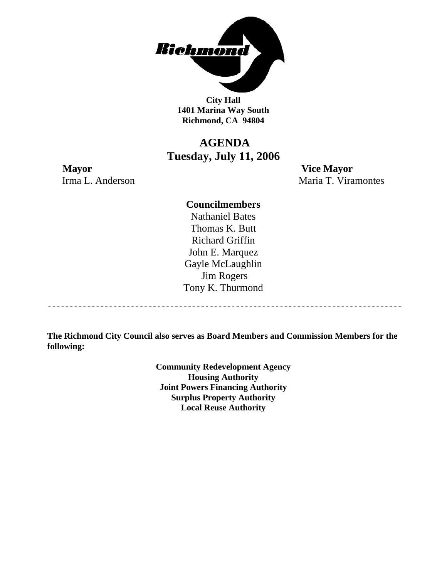

**City Hall 1401 Marina Way South Richmond, CA 94804** 

## **AGENDA Tuesday, July 11, 2006**

**Mayor Vice Mayor** Irma L. Anderson Maria T. Viramontes

------------------------------------

#### **Councilmembers**

Nathaniel Bates Thomas K. Butt Richard Griffin John E. Marquez Gayle McLaughlin Jim Rogers Tony K. Thurmond

**The Richmond City Council also serves as Board Members and Commission Members for the following:** 

> **Community Redevelopment Agency Housing Authority Joint Powers Financing Authority Surplus Property Authority Local Reuse Authority**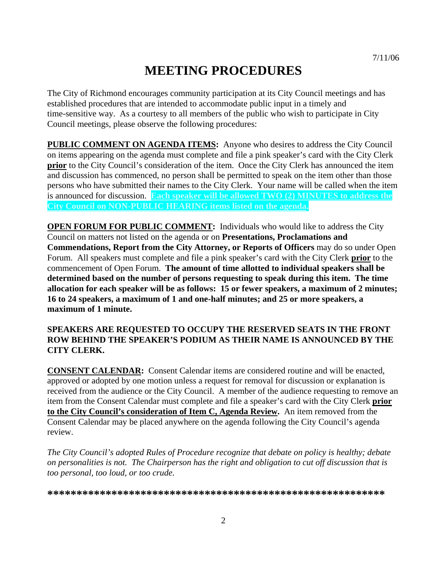# **MEETING PROCEDURES**

The City of Richmond encourages community participation at its City Council meetings and has established procedures that are intended to accommodate public input in a timely and time-sensitive way. As a courtesy to all members of the public who wish to participate in City Council meetings, please observe the following procedures:

**PUBLIC COMMENT ON AGENDA ITEMS:** Anyone who desires to address the City Council on items appearing on the agenda must complete and file a pink speaker's card with the City Clerk **prior** to the City Council's consideration of the item. Once the City Clerk has announced the item and discussion has commenced, no person shall be permitted to speak on the item other than those persons who have submitted their names to the City Clerk. Your name will be called when the item is announced for discussion. **Each speaker will be allowed TWO (2) MINUTES to address the City Council on NON-PUBLIC HEARING items listed on the agenda.** 

**OPEN FORUM FOR PUBLIC COMMENT:** Individuals who would like to address the City Council on matters not listed on the agenda or on **Presentations, Proclamations and Commendations, Report from the City Attorney, or Reports of Officers** may do so under Open Forum. All speakers must complete and file a pink speaker's card with the City Clerk **prior** to the commencement of Open Forum. **The amount of time allotted to individual speakers shall be determined based on the number of persons requesting to speak during this item. The time allocation for each speaker will be as follows: 15 or fewer speakers, a maximum of 2 minutes; 16 to 24 speakers, a maximum of 1 and one-half minutes; and 25 or more speakers, a maximum of 1 minute.** 

#### **SPEAKERS ARE REQUESTED TO OCCUPY THE RESERVED SEATS IN THE FRONT ROW BEHIND THE SPEAKER'S PODIUM AS THEIR NAME IS ANNOUNCED BY THE CITY CLERK.**

**CONSENT CALENDAR:** Consent Calendar items are considered routine and will be enacted, approved or adopted by one motion unless a request for removal for discussion or explanation is received from the audience or the City Council. A member of the audience requesting to remove an item from the Consent Calendar must complete and file a speaker's card with the City Clerk **prior to the City Council's consideration of Item C, Agenda Review.** An item removed from the Consent Calendar may be placed anywhere on the agenda following the City Council's agenda review.

*The City Council's adopted Rules of Procedure recognize that debate on policy is healthy; debate on personalities is not. The Chairperson has the right and obligation to cut off discussion that is too personal, too loud, or too crude.* 

**\*\*\*\*\*\*\*\*\*\*\*\*\*\*\*\*\*\*\*\*\*\*\*\*\*\*\*\*\*\*\*\*\*\*\*\*\*\*\*\*\*\*\*\*\*\*\*\*\*\*\*\*\*\*\*\*\*\***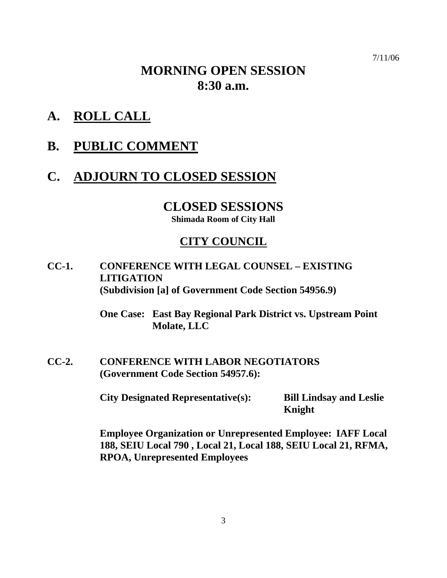7/11/06

# **MORNING OPEN SESSION 8:30 a.m.**

- **A. ROLL CALL**
- **B. PUBLIC COMMENT**

## **C. ADJOURN TO CLOSED SESSION**

## **CLOSED SESSIONS**

**Shimada Room of City Hall** 

## **CITY COUNCIL**

**CC-1. CONFERENCE WITH LEGAL COUNSEL – EXISTING LITIGATION (Subdivision [a] of Government Code Section 54956.9)** 

> **One Case: East Bay Regional Park District vs. Upstream Point Molate, LLC**

**CC-2. CONFERENCE WITH LABOR NEGOTIATORS (Government Code Section 54957.6):** 

**City Designated Representative(s): Bill Lindsay and Leslie** 

**Knight** 

 **Employee Organization or Unrepresented Employee: IAFF Local 188, SEIU Local 790 , Local 21, Local 188, SEIU Local 21, RFMA, RPOA, Unrepresented Employees**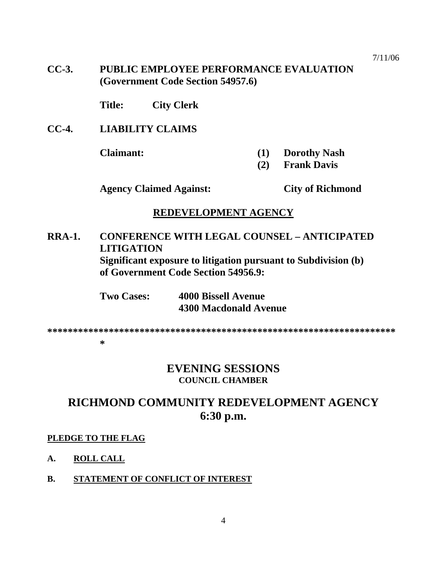7/11/06

**CC-3. PUBLIC EMPLOYEE PERFORMANCE EVALUATION (Government Code Section 54957.6)** 

 **Title: City Clerk** 

**CC-4. LIABILITY CLAIMS** 

- **Claimant: (1) Dorothy Nash** 
	- **(2) Frank Davis**

 **Agency Claimed Against: City of Richmond** 

#### **REDEVELOPMENT AGENCY**

**RRA-1. CONFERENCE WITH LEGAL COUNSEL – ANTICIPATED LITIGATION Significant exposure to litigation pursuant to Subdivision (b) of Government Code Section 54956.9:** 

> **Two Cases: 4000 Bissell Avenue 4300 Macdonald Avenue**

**\*\*\*\*\*\*\*\*\*\*\*\*\*\*\*\*\*\*\*\*\*\*\*\*\*\*\*\*\*\*\*\*\*\*\*\*\*\*\*\*\*\*\*\*\*\*\*\*\*\*\*\*\*\*\*\*\*\*\*\*\*\*\*\*\*\*\*\* \*** 

## **EVENING SESSIONS COUNCIL CHAMBER**

## **RICHMOND COMMUNITY REDEVELOPMENT AGENCY 6:30 p.m.**

#### **PLEDGE TO THE FLAG**

- **A. ROLL CALL**
- **B. STATEMENT OF CONFLICT OF INTEREST**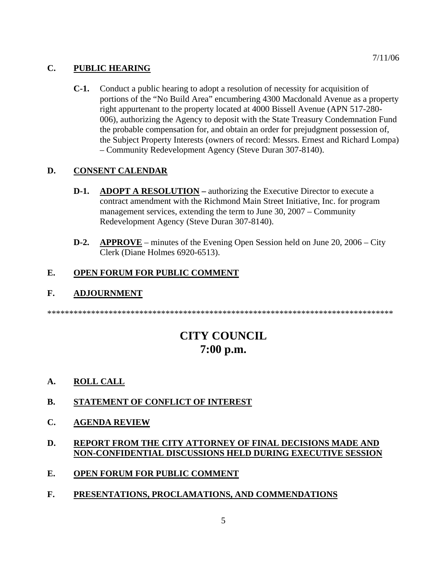#### **C. PUBLIC HEARING**

**C-1.** Conduct a public hearing to adopt a resolution of necessity for acquisition of portions of the "No Build Area" encumbering 4300 Macdonald Avenue as a property right appurtenant to the property located at 4000 Bissell Avenue (APN 517-280- 006), authorizing the Agency to deposit with the State Treasury Condemnation Fund the probable compensation for, and obtain an order for prejudgment possession of, the Subject Property Interests (owners of record: Messrs. Ernest and Richard Lompa) – Community Redevelopment Agency (Steve Duran 307-8140).

#### **D. CONSENT CALENDAR**

- **D-1.** ADOPT A RESOLUTION authorizing the Executive Director to execute a contract amendment with the Richmond Main Street Initiative, Inc. for program management services, extending the term to June 30, 2007 – Community Redevelopment Agency (Steve Duran 307-8140).
- **D-2. APPROVE** minutes of the Evening Open Session held on June 20, 2006 City Clerk (Diane Holmes 6920-6513).

#### **E. OPEN FORUM FOR PUBLIC COMMENT**

#### **F. ADJOURNMENT**

\*\*\*\*\*\*\*\*\*\*\*\*\*\*\*\*\*\*\*\*\*\*\*\*\*\*\*\*\*\*\*\*\*\*\*\*\*\*\*\*\*\*\*\*\*\*\*\*\*\*\*\*\*\*\*\*\*\*\*\*\*\*\*\*\*\*\*\*\*\*\*\*\*\*\*\*\*\*\*

## **CITY COUNCIL 7:00 p.m.**

- **A. ROLL CALL**
- **B. STATEMENT OF CONFLICT OF INTEREST**
- **C. AGENDA REVIEW**
- **D. REPORT FROM THE CITY ATTORNEY OF FINAL DECISIONS MADE AND NON-CONFIDENTIAL DISCUSSIONS HELD DURING EXECUTIVE SESSION**
- **E. OPEN FORUM FOR PUBLIC COMMENT**
- **F. PRESENTATIONS, PROCLAMATIONS, AND COMMENDATIONS**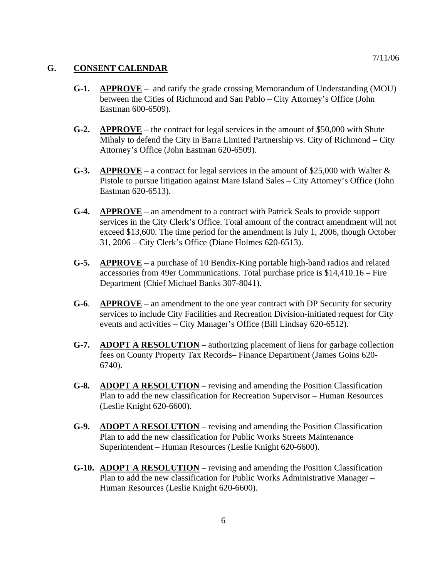#### **G. CONSENT CALENDAR**

- **G-1. APPROVE** and ratify the grade crossing Memorandum of Understanding (MOU) between the Cities of Richmond and San Pablo – City Attorney's Office (John Eastman 600-6509).
- **G-2. APPROVE** the contract for legal services in the amount of \$50,000 with Shute Mihaly to defend the City in Barra Limited Partnership vs. City of Richmond – City Attorney's Office (John Eastman 620-6509).
- **G-3. APPROVE** a contract for legal services in the amount of \$25,000 with Walter & Pistole to pursue litigation against Mare Island Sales – City Attorney's Office (John Eastman 620-6513).
- **G-4. APPROVE** an amendment to a contract with Patrick Seals to provide support services in the City Clerk's Office. Total amount of the contract amendment will not exceed \$13,600. The time period for the amendment is July 1, 2006, though October 31, 2006 – City Clerk's Office (Diane Holmes 620-6513).
- **G-5. APPROVE** a purchase of 10 Bendix-King portable high-band radios and related accessories from 49er Communications. Total purchase price is \$14,410.16 – Fire Department (Chief Michael Banks 307-8041).
- **G-6**. **APPROVE** an amendment to the one year contract with DP Security for security services to include City Facilities and Recreation Division-initiated request for City events and activities – City Manager's Office (Bill Lindsay 620-6512).
- **G-7. ADOPT A RESOLUTION** authorizing placement of liens for garbage collection fees on County Property Tax Records– Finance Department (James Goins 620- 6740).
- **G-8. ADOPT A RESOLUTION** revising and amending the Position Classification Plan to add the new classification for Recreation Supervisor – Human Resources (Leslie Knight 620-6600).
- **G-9. ADOPT A RESOLUTION** revising and amending the Position Classification Plan to add the new classification for Public Works Streets Maintenance Superintendent – Human Resources (Leslie Knight 620-6600).
- **G-10. ADOPT A RESOLUTION** revising and amending the Position Classification Plan to add the new classification for Public Works Administrative Manager – Human Resources (Leslie Knight 620-6600).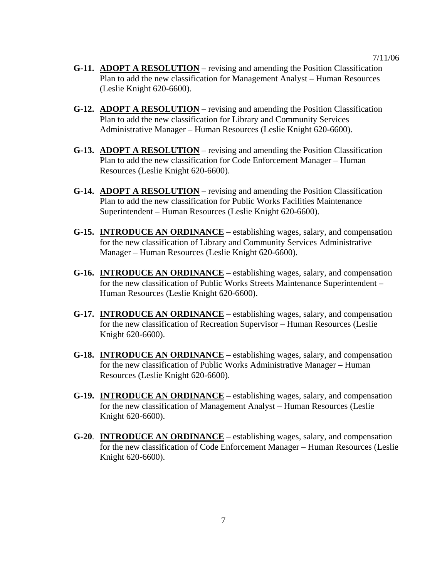- **G-11. ADOPT A RESOLUTION** revising and amending the Position Classification Plan to add the new classification for Management Analyst – Human Resources (Leslie Knight 620-6600).
- **G-12. ADOPT A RESOLUTION** revising and amending the Position Classification Plan to add the new classification for Library and Community Services Administrative Manager – Human Resources (Leslie Knight 620-6600).
- **G-13. ADOPT A RESOLUTION** revising and amending the Position Classification Plan to add the new classification for Code Enforcement Manager – Human Resources (Leslie Knight 620-6600).
- **G-14. ADOPT A RESOLUTION** revising and amending the Position Classification Plan to add the new classification for Public Works Facilities Maintenance Superintendent – Human Resources (Leslie Knight 620-6600).
- **G-15. INTRODUCE AN ORDINANCE** establishing wages, salary, and compensation for the new classification of Library and Community Services Administrative Manager – Human Resources (Leslie Knight 620-6600).
- **G-16. INTRODUCE AN ORDINANCE** establishing wages, salary, and compensation for the new classification of Public Works Streets Maintenance Superintendent – Human Resources (Leslie Knight 620-6600).
- **G-17. INTRODUCE AN ORDINANCE** establishing wages, salary, and compensation for the new classification of Recreation Supervisor – Human Resources (Leslie Knight 620-6600).
- **G-18. INTRODUCE AN ORDINANCE** establishing wages, salary, and compensation for the new classification of Public Works Administrative Manager – Human Resources (Leslie Knight 620-6600).
- **G-19. INTRODUCE AN ORDINANCE** establishing wages, salary, and compensation for the new classification of Management Analyst – Human Resources (Leslie Knight 620-6600).
- **G-20**. **INTRODUCE AN ORDINANCE** establishing wages, salary, and compensation for the new classification of Code Enforcement Manager – Human Resources (Leslie Knight 620-6600).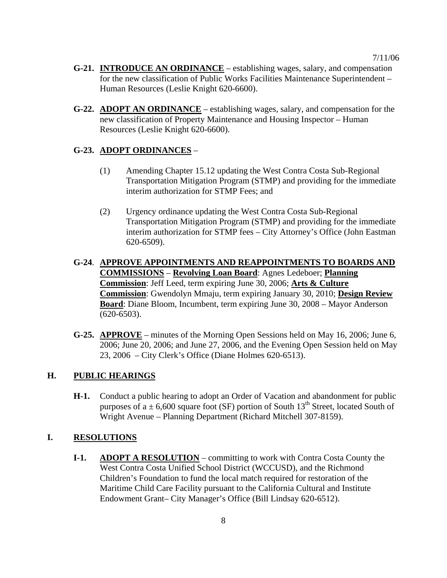- **G-21. INTRODUCE AN ORDINANCE** establishing wages, salary, and compensation for the new classification of Public Works Facilities Maintenance Superintendent – Human Resources (Leslie Knight 620-6600).
- **G-22. ADOPT AN ORDINANCE** establishing wages, salary, and compensation for the new classification of Property Maintenance and Housing Inspector – Human Resources (Leslie Knight 620-6600).

#### **G-23. ADOPT ORDINANCES** –

- (1) Amending Chapter 15.12 updating the West Contra Costa Sub-Regional Transportation Mitigation Program (STMP) and providing for the immediate interim authorization for STMP Fees; and
- (2) Urgency ordinance updating the West Contra Costa Sub-Regional Transportation Mitigation Program (STMP) and providing for the immediate interim authorization for STMP fees – City Attorney's Office (John Eastman 620-6509).
- **G-24**. **APPROVE APPOINTMENTS AND REAPPOINTMENTS TO BOARDS AND COMMISSIONS** – **Revolving Loan Board**: Agnes Ledeboer; **Planning Commission**: Jeff Leed, term expiring June 30, 2006; **Arts & Culture Commission**: Gwendolyn Mmaju, term expiring January 30, 2010; **Design Review Board**: Diane Bloom, Incumbent, term expiring June 30, 2008 – Mayor Anderson (620-6503).
- **G-25. APPROVE** minutes of the Morning Open Sessions held on May 16, 2006; June 6, 2006; June 20, 2006; and June 27, 2006, and the Evening Open Session held on May 23, 2006 – City Clerk's Office (Diane Holmes 620-6513).

### **H. PUBLIC HEARINGS**

**H-1.** Conduct a public hearing to adopt an Order of Vacation and abandonment for public purposes of a  $\pm$  6,600 square foot (SF) portion of South 13<sup>th</sup> Street, located South of Wright Avenue – Planning Department (Richard Mitchell 307-8159).

### **I. RESOLUTIONS**

**I-1.** ADOPT A RESOLUTION – committing to work with Contra Costa County the West Contra Costa Unified School District (WCCUSD), and the Richmond Children's Foundation to fund the local match required for restoration of the Maritime Child Care Facility pursuant to the California Cultural and Institute Endowment Grant– City Manager's Office (Bill Lindsay 620-6512).